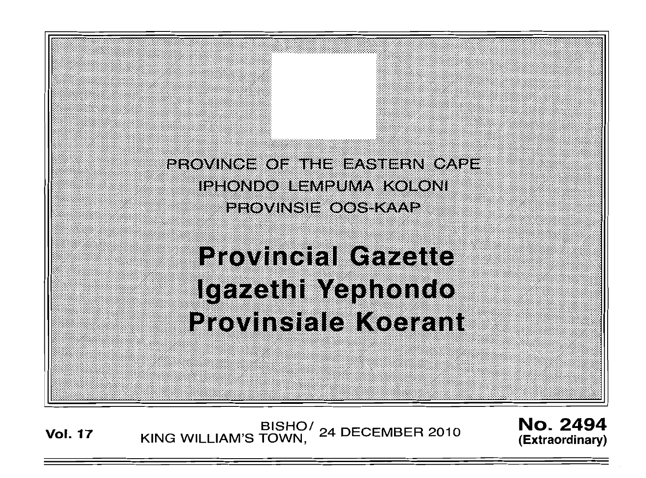PROVINCE OF THE EASTERN CAPE. IPHONDO LEMPUMA KOLONI PROVINSIE OOS KAAP

**Provincial Gazette** Igazethi Yephondo **Provinsiale Koerant** 

BISHO/ 24 DECEMBER 2010<br>KING WILLIAM'S TOWN, 24 DECEMBER 2010 **Vol. 17** 

**No. 2494** (Extraordinary)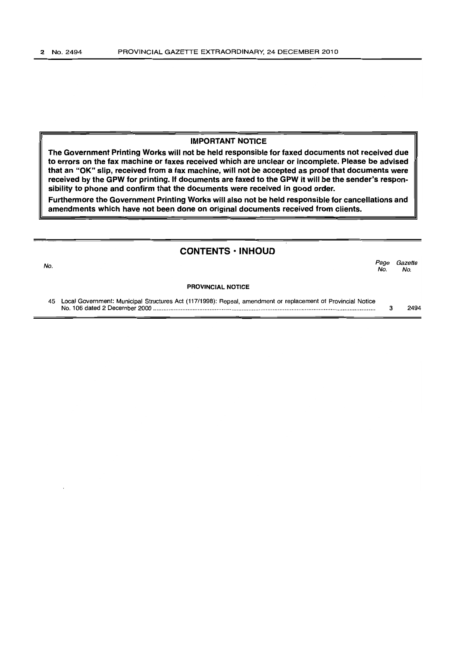# IMPORTANT NOTICE

The Government Printing Works will not be held responsible for faxed documents not received due to errors on the fax machine or faxes received which are unclear or incomplete. Please be advised that an "OK" slip, received from a fax machine, will not be accepted as proof that documents were received by the GPW for printing. If documents are faxed to the GPW it will be the sender's responsibility to phone and confirm that the documents were received in good order.

Furthermore the Government Printing Works will also not be held responsible for cancellations and amendments which have not been done on original documents received from clients.

# **CONTENTS • INHOUD**

No.<br>No. Page Gazette No. No.

#### PROVINCIAL NOTICE

45 Local Government: Municipal Structures Act (117/1998): Repeal, amendment or replacement of Provincial Notice No. 106 dated 2 December 2000 ................................................................................................................................ .. 3 2494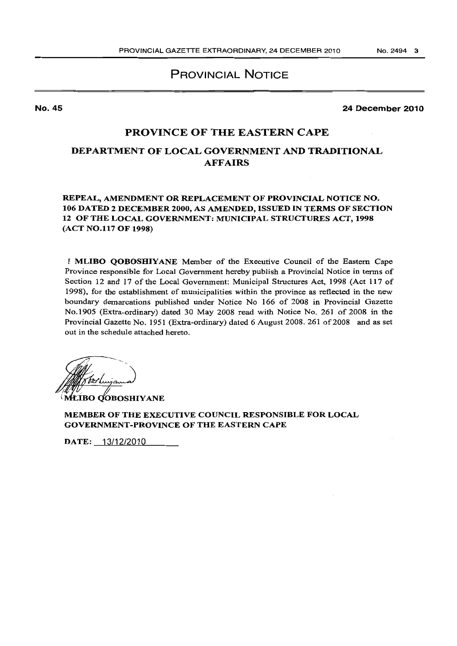PROVINCIAL NOTICE

No. 45

24 December 2010

# PROVINCE OF THE EASTERN CAPE

# DEPARTMENT OF LOCAL GOVERNMENT AND TRADITIONAL AFFAIRS

REPEAL, AMENDMENT OR REPLACEMENT OF PROVINCIAL NOTICE NO. 106 DATED 2 DECEMBER 2000, AS AMENDED, ISSUED IN TERMS OF SECTION 12 OF THE LOCAL GOVERNMENT: MUNICIPAL STRUCTURES ACT, 1998 (ACT NO.117 OF 1998)

I MLIBO QOBOSHIYANE Member of the Executive Council of the Eastern Cape Province responsible for Local Government hereby publish a Provincial Notice in terms of Section 12 and 17 of the Local Government: Municipal Structures Act, 1998 (Act 117 of 1998). for the establishment of municipalities within the province as reflected in the new boundary demarcations published under Notice No 166 of 2008 in Provincial Gazette No.1905 (Extra-ordinary) dated 30 May 2008 read with Notice No. 26] of 2008 in the Provincial Gazette No. 1951 (Extra-ordinary) dated 6 August 2008. 261 of 2008 and as set out in the schedule attached hereto.

**MEIBO QOBOSHIYANE** 

MEMBER OF THE EXECUTIVE COUNCIL RESPONSIBLE FOR LOCAL GOVERNMENT -PROVINCE OF THE EASTERN CAPE

DATE: 13/12/2010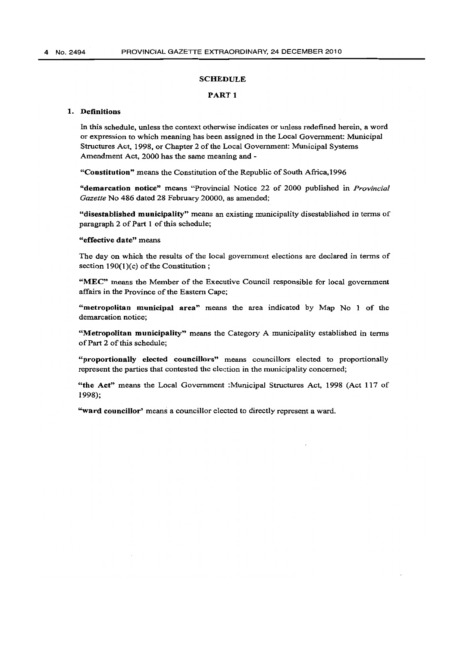### SCHEDULE

#### PART<sub>1</sub>

# 1. Definitions

In this schedule. unless the context otherwise indicates or unless redefined herein, a word or expression to which meaning has been assigned in the Local Government: Municipal Structures Act, 1998. or Chapter 2 of the Local Government: Municipal Systems Amendment Act, 2000 has the same meaning and -

"Constitution" means the Constitution of the Republic of South Africa.1996

"demarcation notice" means "Provincial Notice 22 of 2000 published in *Provincial Gazette* No 486 dated 28 February 20000, as amended;

"disestablished municipality" means an existing municipality disestablished in terms of paragraph 2 of Part 1 of this schedule;

# "effective date" means

The day on which the results of the local government elections are declared in terms of section 190(1)(c) of the Constitution;

"MEC" means the Member of the Executive Council responsible for local government affairs in the Province of the Eastern Cape;

"metropolitan municipal area" means the area indicated by Map No 1 of the demarcation notice;

"Metropolitan municipality" means the Category A municipality established in terms of Part 2 of this schedule;

"proportionally elected councillors" means councillors elected to proportionally represent the parties that contested the election in the municipality concerned;

"the Act" means the Local Government :Municipal Structures Act, 1998 (Act 117 of 1998);

"ward councillor' means a councillor elected to directly represent a ward.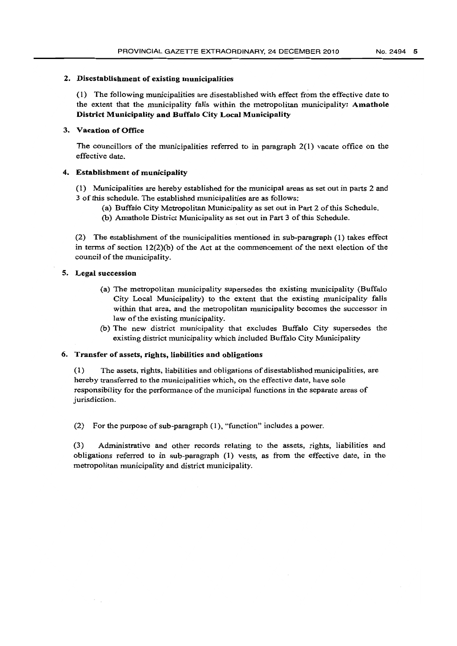### 2. Disestablishment of existing municipalities

(I) The following municipalities are disestablished with effect from the effective date to the extent that the municipality falls within the metropolitan municipality: Amathole District Municipality and Buffalo City Local Municipality

# 3. Vacation of Office

The councillors of the municipalities referred to in paragraph 2(1) vacate office on the effective date.

# 4. Establishment of municipality

(1) Municipalities are hereby established for the municipal areas as set out in parts 2 and 3 of this schedule. The established municipalities are as follows:

- (a) Buffalo City Metropolitan Municipality as set out in Part 2 of this Schedule.
- (b) Amathole District Municipality as set out in Part 3 of this Schedule.

(2) The establishment of the municipalities mentioned in sub-paragraph (1) takes effect in terms of section  $12(2)(b)$  of the Act at the commencement of the next election of the council of the municipality.

## S. Legal succession

- (a) The metropolitan municipality supersedes the existing municipality (Buffalo City Local Municipality) to the extent that the existing municipality falls within that area, and the metropolitan municipality becomes the successor in law of the existing municipality.
- (b) The new district municipality that excludes Buffalo City supersedes the existing district municipality which included Buffalo City Municipality

# 6. Transfer of assets, rights, liabilities and obligations

(1) The assets, rights, liabilities and obligations of disestablished municipalities, are hereby transferred to the municipalities which, on the effective date, have sole responsibility for the performance of the municipal functions in the separate areas of jurisdiction.

(2) For the purpose of sub-paragraph (1), "function" includes a power.

(3) Administrative and other records relating to the assets, rights, liabilities and obligations referred to in sub-paragraph (J) vests, as from the effective date, in the metropolitan municipality and district municipality.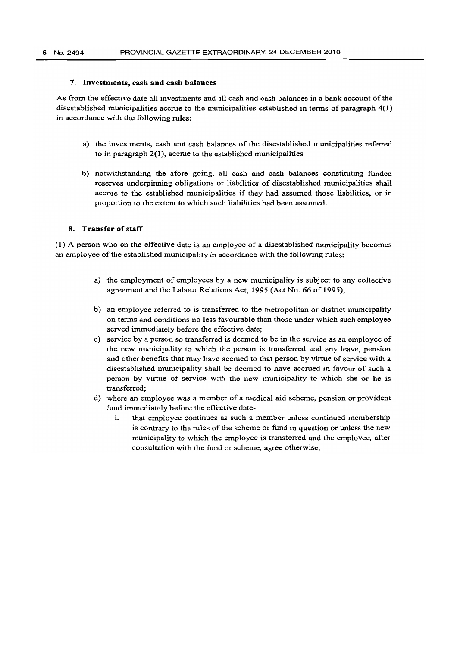### 1. Investments, cash and cash balances

As from the effective date all investments and all cash and cash balances in a bank account of the disestablished municipalities accrue to the municipalities established in terms of paragraph 4(1) in accordance with the following rules:

- a) the investments, cash and cash balances of the disestablished municipalities referred to in paragraph  $2(1)$ , accrue to the established municipalities
- b) notwithstanding the afore going, all cash and cash balances constituting funded reserves underpinning obligations or liabilities of disestablished municipalities shall accrue to the established municipalities if they had assumed those liabilities. or in proportion to the extent to which such liabilities had been assumed.

# 8. Transfer of staff

(l) A person who on the effective date is an employee of a disestablished municipality becomes an employee of the established municipality in accordance with the following rules:

- a) the employment of employees by a new municipality is subject to any collective agreement and the Labour Relations Act, 1995 (Act No. 66 of 1995);
- b) an employee referred to is transferred to the metropolitan or district municipality on terms and conditions no less favourable than those under which such employee served immediately before the effective date;
- c) service by a person so transferred is deemed to be in the service as an employee of the new municipality to which the person is transferred and any leave, pension and other benefits that may have accrued to that person by virtue of service with a disestablished municipality shall be deemed to have accrued in favour of such a person by virtue of service with the new municipality to which she or he is transferred;
- d) where an employee was a member of a medical aid scheme. pension or provident fund immediately before the effective date-
	- 1. that employee continues as such a member unless continued membership is contrary to the rules of the scheme or fund in question or un1ess the new municipality to which the employee is transferred and the employee, after consultation with the fund or scheme, agree otherwise,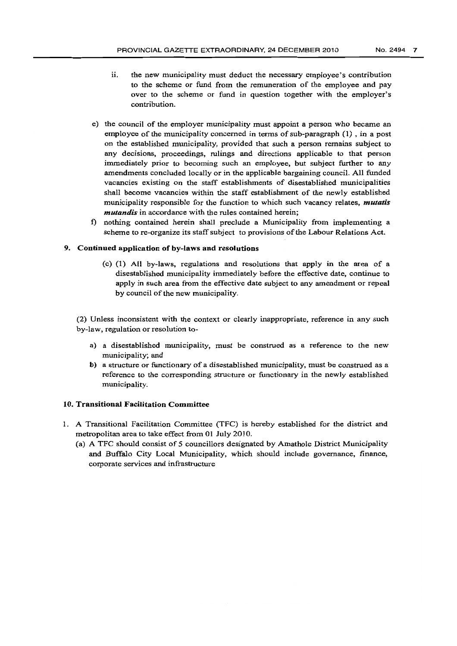- ii. the new municipality must deduct the necessary employee's contribution to the scheme or fund from the remuneration of the employee and pay over to the scheme or fund in question together with the employer's contribution.
- e) the council of the employer municipality must appoint a person who became an employee of the municipality concerned in terms of sub-paragraph (1) , in a post on the established municipality, provided that such a person remains subject to any decisions, proceedings, rulings and directions applicable to that person immediately prior to becoming such an employee, but subject further to any amendments concluded locally or in the applicable bargaining council. All funded vacancies existing on the staff establishments of disestablished municipalities shall become vacancies within the staff establishment of the newly established municipality responsible for the function to which such vacancy relates, *mutatis mutandis* in accordance with the rules contained herein;
- f) nothing contained herein shall preclude a Municipality from implementing a scheme to re-organize its staff subject to provisions of the Labour Relations Act.

# 9. Continued application of by-laws and resolutions

(c) (1) AU by-laws, regulations and resolutions that apply in the area of a disestablished municipality immediately before the effective date, continue to apply in such area from the effective date subject to any amendment or repeal by council of the new municipality.

(2) Unless inconsistent with the context or clearly inappropriate, reference in any such by-law, regulation or resolution to-

- a) a disestablished municipality, must be construed as a reference to the new municipality; and
- b) a structure or functionary of a disestablished municipality, must be construed as a reference to the corresponding structure or functionary in the newly established municipality.

### 10. Transitional Facilitation Committee

- 1. A Transitional Facilitation Committee (TFC) is hereby established for the district and metropolitan area to take effect from 01 July 2010.
	- (a) A TFC should consist of 5 councillors designated by Amathole District Municipality and Buffalo City Local Municipality, which should include governance, finance, corporate services and infrastructure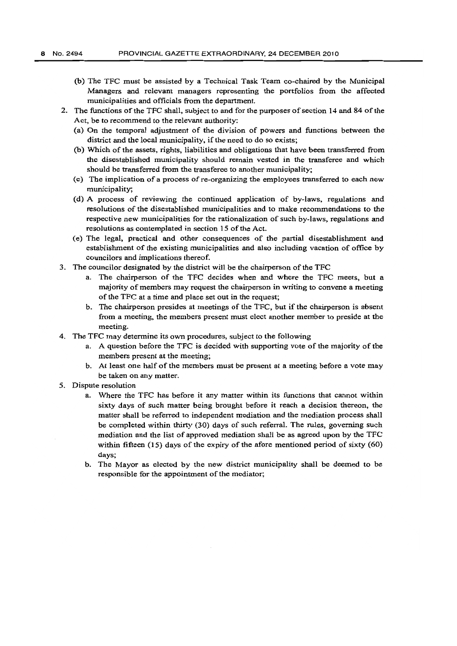- (b) The TFC must be assisted by a Technical Task Team co-chaired by the Municipal Managers and relevant managers representing the portfolios from the affected municipalities and officials from the department.
- 2. The functions of the TFC shall, subject to and for the purposes of section 14 and 84 of the Act, be to recommend to the relevant authority:
	- (a) On the temporal adjustment of the division of powers and functions between the district and the local municipality, if the need to do so exists;
	- (b) Which of the assets, rights, liabilities and obligations that have been transferred from the disestablished municipality should remain vested in the transferee and which should be transferred from the transferee to another municipality;
	- (c) The implication of a process of re-organizing the employees transferred to each new municipality;
	- (d) A pmcess of reviewing the continued application of by-laws, regulations and resolutions of the disestablished municipalities and to make recommendations to the respective new municipalities for the rationalization of such by-laws, regulations and resolutions as contemplated in section 15 of the Act.
	- (e) The legal, practical and other consequences of the partial disestablishment and establishment of the existing municipalities and also including vacation of office by councilors and implications thereof.
- 3. The councilor designated by the district will be the chairperson of the TFC
	- a. The chairperson of the TFC decides when and where the TFC meets, but a majority of members may request the chairperson in writing to convene a meeting of the TFC at a time and place set out in the request;
	- b. The chairperson presides at meetings of the TFC, but if the chairperson is absent from a meeting, the members present must elect another member to preside at the meeting.
- 4. The TFC may determine its own procedures, subject to the following
	- a. A question before the TFC is decided with supporting vote of the majority of the members present at the meeting;
	- b. At least one half of the members must be present at a meeting before a vote may be taken on any matter.
- S. Dispute resolution
	- a. Where the TFC has before it any matter within its functions that cannot within sixty days of such matter being brought before it reach a decision thereon, the matter shall be referred to independent mediation and the mediation process shall be completed within thirty (30) days of such referral. The rules, governing such mediation and the list of approved mediation shall be as agreed upon by the TFC within fifteen  $(15)$  days of the expiry of the afore mentioned period of sixty  $(60)$ days;
	- b. The Mayor as elected by the new district municipality shall be deemed to be responsible for the appointment of the mediator;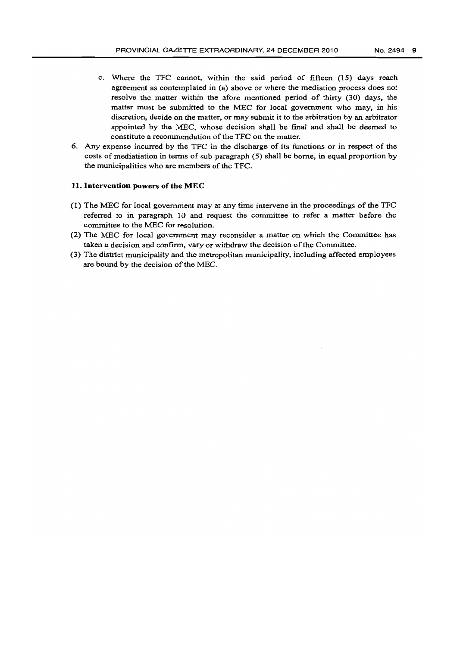- c. Where the TFC cannot, within the said period of fifteen (15) days reach agreement as contemplated in (a) above or where the mediation process does not resolve the matter within the afore mentioned period of thirty (30) days, the matter must be submitted to the MEC for local government who may, in his discretion, decide on the matter, or may submit it to the arbitration by an arbitrator appointed by the MEC, whose decision shall be fmal and shall be deemed to constitute a recommendation of the TFC on the matter.
- 6. Any expense incurred by the TFC in the discharge of its functions or in respect of the costs of mediatiation in terms of sub-paragraph (5) shall be borne, in equal proportion by the municipalities who are members of the TFC.

### **11. Intervention** powers **of** the MEC

- (l) The MEC for local government may at any time intervene in the proceedings of the TFC referred to in paragraph 10 and request the committee to refer a matter before the committee to the MEC for resolution.
- (2) The MEC for local government may reconsider a matter on which the Committee has taken a decision and confinn, vary or withdraw the decision of the Committee.
- (3) The district municipality and the metropolitan municipality, including affected employees are bound by the decision of the MEC.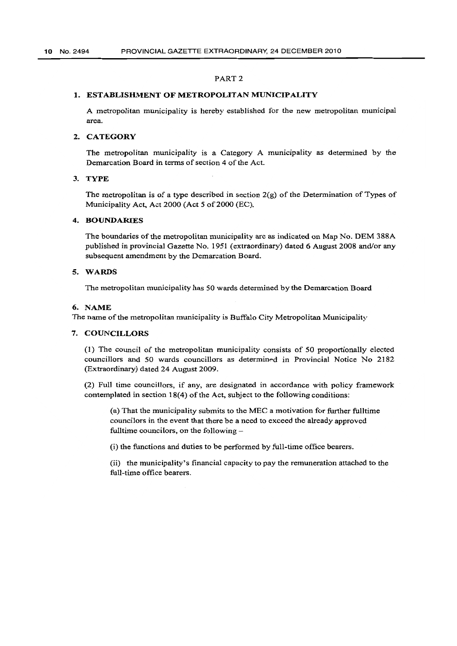#### PART 2

#### 1. ESTABLISHMENT OF METROPOLITAN MUNICIPALITY

A metropolitan municipality is hereby established for the new metropolitan municipal area.

#### 2. CATEGORY

The metropolitan municipality is a Category A municipality as determined by the Demarcation Board in terms of section 4 of the Act.

# 3. TYPE

The metropolitan is of a type described in section 2(g) of the Determination of Types of Municipality Act, Act 2000 (Act 5 of 2000 (EC).

#### 4. BOUNDARIES

The boundaries of the metropolitan municipality are as indicated on Map No. DEM 388A published in provincial Gazette No. 1951 (extraordinary) dated 6 August 2008 and/or any subsequent amendment by the Demarcation Board.

#### 5. WARDS

The metropolitan municipality has 50 wards determined by the Demarcation Board

#### 6. NAME

The name of the metropolitan municipality is Buffalo City Metropolitan Municipality

#### 7. COUNCILLORS

(1) The council of the metropolitan municipality consists of 50 proportionally elected councillors and 50 wards councillors as determined in Provincial Notice No 2182 (Extraordinary) dated 24 August 2009.

(2) Full time councillors, if any, are designated in accordance with policy framework contemplated in section 18(4) of the Act, subject to the following conditions:

(a) That the municipality submits to the MEC a motivation for further full time councilors in the event that there be a need to exceed the already approved fulltime councilors, on the following -

(i) the functions and duties to be performed by full-time office bearers.

(ii) the municipality's financial capacity to pay the remuneration attached to the full-time office bearers.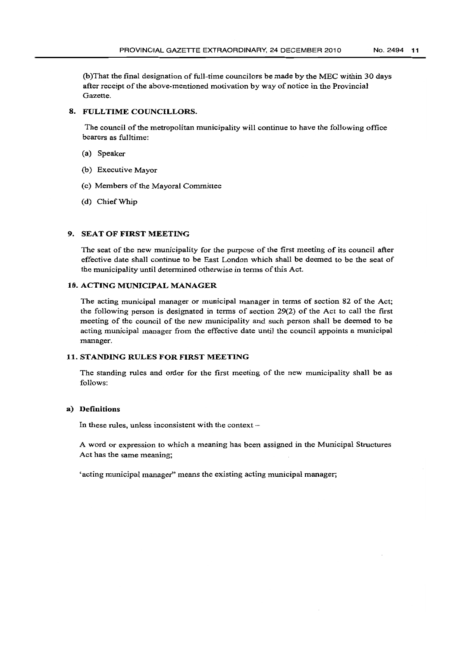(b )That the final designation of full-time councilors be made by the MEC within 30 days after receipt of the above-mentioned motivation by way of notice in the Provincial Gazette.

# 8. FULLTIME COUNCILLORS.

The council of the metropolitan municipality will continue to have the following office bearers as fulltime:

- (a) Speaker
- (b) Executive Mayor
- (c) Members of the Mayoral Committee
- (d) Chief Whip

# 9. SEAT OF FIRST MEETING

The seat of the new municipality for the purpose of the first meeting of its council after effective date shall continue to be East London which shall be deemed to be the seat of the municipality until determined otherwise in terms of this Act.

### 10. ACTING MUNICIPAL MANAGER

The acting municipal manager or municipal manager in terms of section 82 of the Act; the following person is designated in terms of section 29(2) of the Act to call the first meeting of the council of the new municipality and such person shall be deemed to be acting municipal manager from the effective date until the council appoints a municipal manager.

# 11. STANDING RULES FOR FIRST MEETING

The standing rules and order for the first meeting of the new municipality shall be as follows:

## a) Definitions

In these rules, unless inconsistent with the context  $-$ 

A word or expression to which a meaning has been assigned in the Municipal Structures Act has the same meaning;

'acting municipal manager" means the existing acting municipal manager;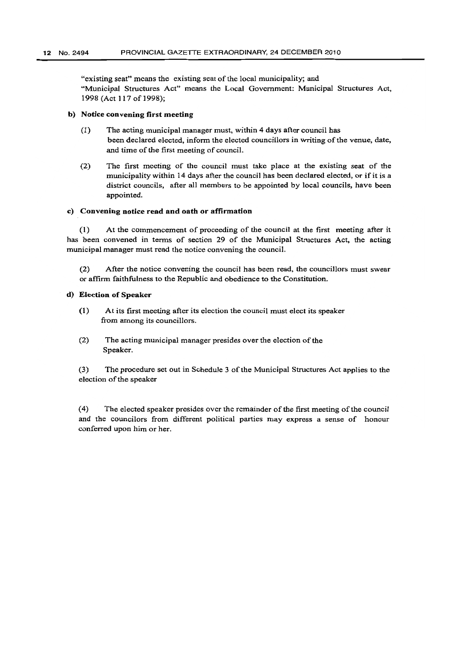"existing seat" means the existing seat of the local municipality; and "Municipal Structures Act" means the Local Government: Municipal Structures Act, 1998 (Act 117 of 1998);

#### b) Notice convening first meeting

- (1) The acting municipal manager must, within 4 days after council has been declared elected, inform the elected councillors in writing of the venue, date, and time of the first meeting of counciL
- (2) The first meeting of the council must take place at the existing seat of the municipality within 14 days after the council has been declared elected, or ifit is a district councils, after all members to be appointed by local councils, have been appointed.

#### c) Convening notice read and oath or affirmation

(1) At the commencement of proceeding of the council at the first meeting after it has been convened in terms of section 29 of the Municipal Structures Act, the acting municipal manager must read the notice convening the council.

(2) After the notice convening the council has been read, the councillors must swear or affirm faithfulness to the Republic and obedience to the Constitution.

#### d) Election of Speaker

- (1) At its first meeting after its election the council must elect its speaker from among its councillors.
- (2) The acting municipal manager presides over the election of the Speaker.

(3) The procedure set out in Schedule 3 of the Municipal Structures Act applies to the election of the speaker

(4) The elected speaker presides over the remainder of the first meeting of the council and the councilors from different political parties may express a sense of honour conferred upon him or her.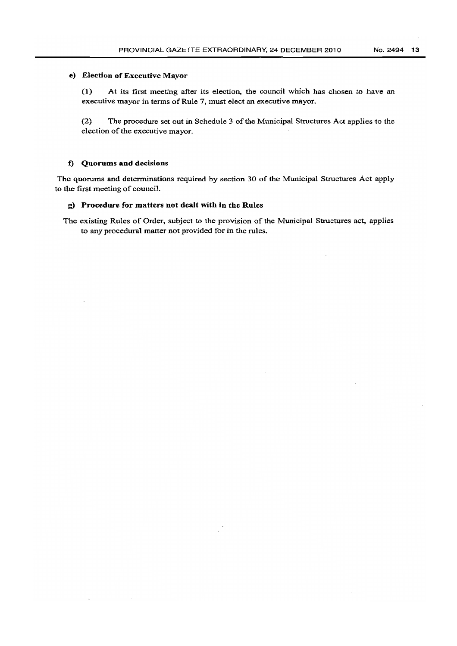# e) Election of Executive Mayor

(1) At its first meeting after its election, the council which has chosen to have an executive mayor in terms of Rule 7, must elect an executive mayor.

(2) The procedure set out in Schedule 3 of the Municipal Structures Act applies to the election of the executive mayor.

### 1) Quorums and decisions

The quorums and determinations required by section 30 of the Municipal Structures Act apply to the first meeting of council.

#### g} Procedure for matters not dealt with in the Rules

The existing Rules of Order, subject to the provision of the Municipal Structures act, applies to any procedural matter not provided for in the rules.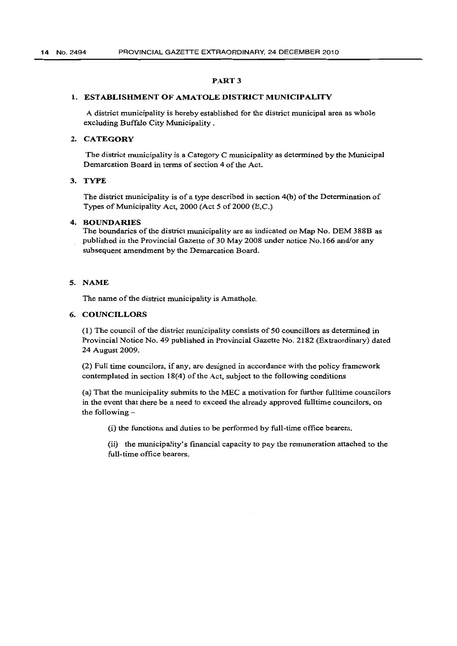# PART 3

# 1. ESTABLISHMENT OF AMATOLE DISTRICT MUNICIPALITY

A district municipality is hereby established for the district municipal area as whole excluding Buffalo City Municipality.

# 2. CATEGORY

The district municipality is a Category C municipality as determined by the Municipal Demarcation Board in terms of section 4 of the Act.

# 3. TYPE

The district municipality is of a type described in section 4(b) of the Determination of Types of Municipality Act, 2000 (Act 5 of 2000 (E,C.)

# 4. BOUNDARIES

The boundaries of the district municipality are as indicated on Map No. DEM 388B as published in the Provincial Gazette of 30 May 2008 under notice No.166 and/or any subsequent amendment by the Demarcation Board.

### 5. NAME

The name of the district municipality is Amathole.

# 6. COUNCILLORS

(1) The council of the district municipality consists of 50 councillors as determined in Provincial Notice No. 49 published in Provincial Gazette No. 2182 (Extraordinary) dated 24 August 2009.

(2) Full time councilors, if any, are designed in accordance with the policy framework contemplated in section 18(4) of the Act, subject to the following conditions

(a) That the municipality submits to the MEC a motivation for further fulltime councilors in the event that there be a need to exceed the already approved fulltime councilors, on the following

(i) the functions and duties to be performed by full-time office bearers.

(ii) the municipality's financial capacity to pay the remuneration attached to the full-time office bearers.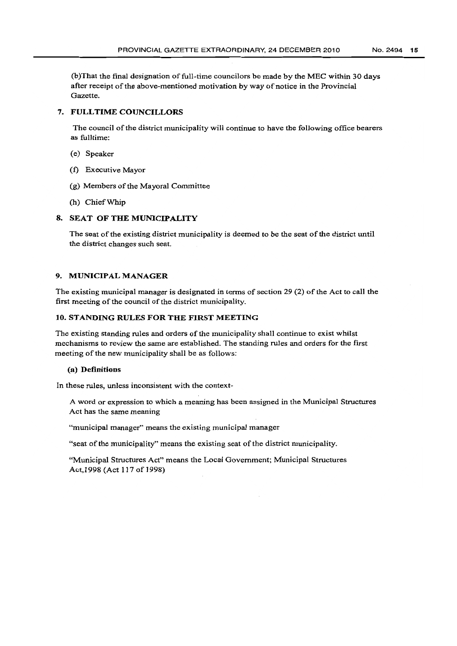(b)That the final designation of full-time councilors be made by the MEC within 30 days after receipt of the above-mentioned motivation by way of notice in the Provincial Gazette.

## 7. FULL TIME COUNCILLORS

The council of the district municipality will continue to have the following office bearers as fulltime:

- (e) Speaker
- (1) Executive Mayor
- (g) Members of the Mayoral Committee
- (h) Chief Whip

## 8. SEAT OF THE MUNICIPALITY

The seat of the existing district municipality is deemed to be the seat of the district until the district changes such seat.

# 9. MUNICIPAL MANAGER

The existing municipal manager is designated in terms of section 29 (2) of the Act to call the first meeting of the council of the district municipality.

# 10. STANDING RULES FOR THE FIRST MEETING

The existing standing rules and orders of the municipality shall continue to exist whilst mechanisms to review the same are established. The standing rules and orders for the first meeting of the new municipality shall be as follows:

## (a) Definitions

In these rules, unless inconsistent with the context-

A word or expression to which a meaning has been assigned in the Municipal Structures Act has the same meaning

"municipal manager" means the existing municipal manager

"seat of the municipality" means the existing seat of the district municipality.

"Municipal Structures Act" means the Local Government; Municipal Structures Act, 1998 (Act 117 of 1998)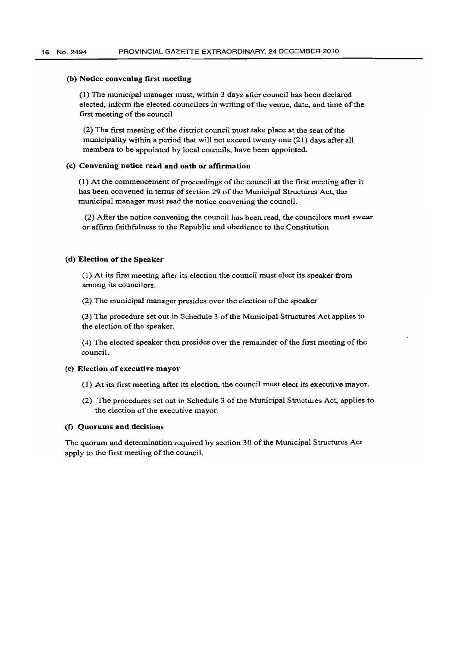#### (b) Notice convening first meeting

(I) The municipal manager must, within 3 days after council has been declared elected, infonn the elected councilors in writing of the venue, date, and time of the first meeting of the council

(2) The first meeting of the district council must take place at the seat of the municipality within a period that will not exceed twenty one (21) days after all members to be appointed by local councils, have been appointed.

#### (c) Convening notice read and oath or affirmation

{l) At the commencement of proceedings of the council at the first meeting after it has been convened in terms of section 29 of the Municipal Structures Act, the municipal manager must read the notice convening the council.

(2) After the notice convening the council has been read, the councilors must swear or affinn faithfulness to the Republic and obedience to the Constitution

#### (d) Election of the Speaker

(1) At its first meeting after its election the council must elect its speaker from among its councilors.

(2) The municipal manager presides over the election of the speaker

(3) The procedure set out in Schedule 3 of the Municipal Structures Act applies to the election of the speaker.

(4) The elected speaker then presides over the remainder of the first meeting of the council.

### (e) Election of executive mayor

- (1) At its first meeting after its election, the council must elect its executive mayor.
- (2) The procedures set out in Schedule 3 of the Municipal Structures Act, applies to the election of the executive mayor.

#### (f) Quorums and decisions

The quorum and determination required by section 30 of the Municipal Structures Act apply to the first meeting of the council.